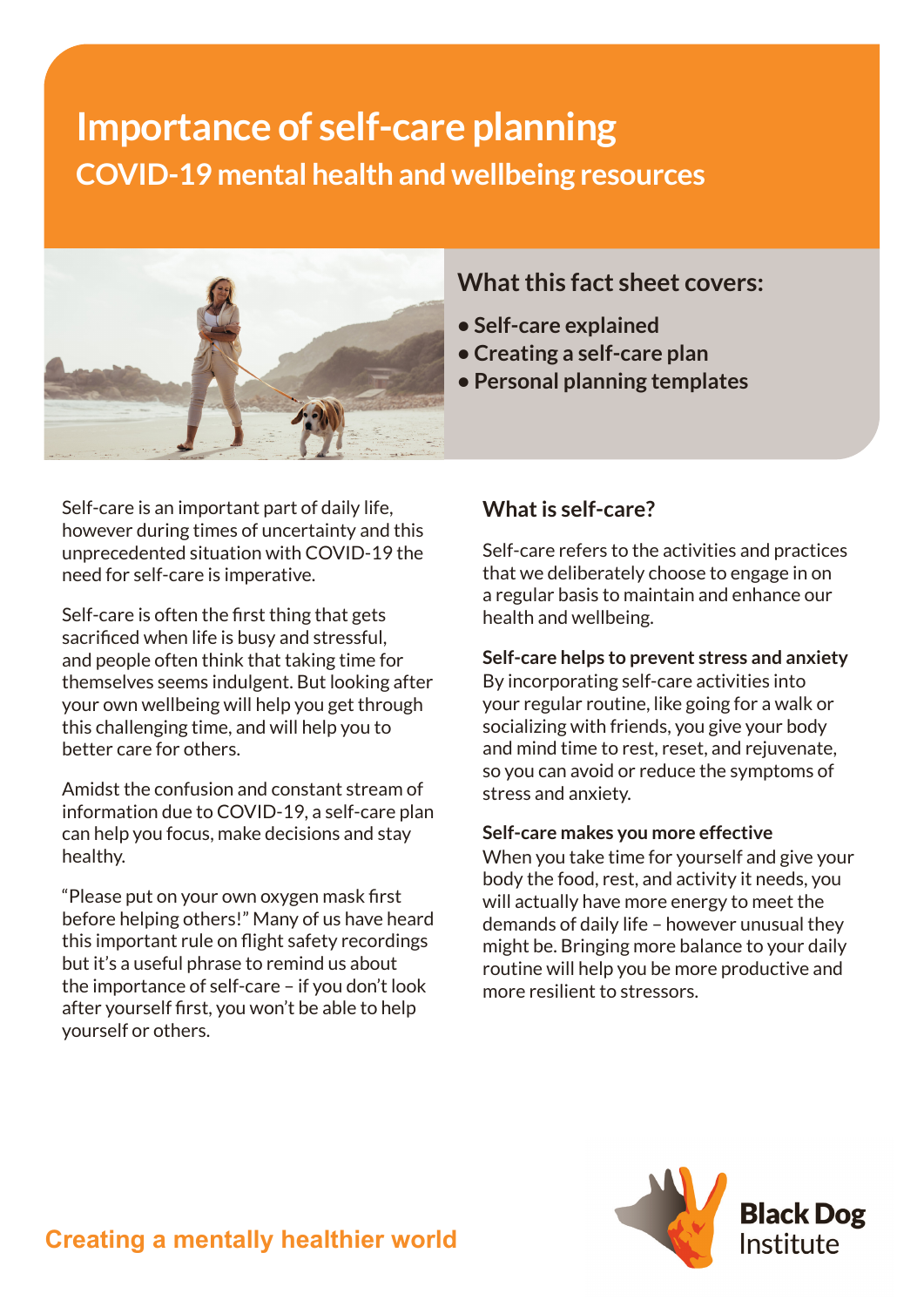# **Importance of self-care planning COVID-19 mental health and wellbeing resources**



**What this fact sheet covers:**

- **Self-care explained**
- **Creating a self-care plan**
- **Personal planning templates**

Self-care is an important part of daily life, however during times of uncertainty and this unprecedented situation with COVID-19 the need for self-care is imperative.

Self-care is often the first thing that gets sacrificed when life is busy and stressful, and people often think that taking time for themselves seems indulgent. But looking after your own wellbeing will help you get through this challenging time, and will help you to better care for others.

Amidst the confusion and constant stream of information due to COVID-19, a self-care plan can help you focus, make decisions and stay healthy.

"Please put on your own oxygen mask first before helping others!" Many of us have heard this important rule on flight safety recordings but it's a useful phrase to remind us about the importance of self-care – if you don't look after yourself first, you won't be able to help yourself or others.

### **What is self-care?**

Self-care refers to the activities and practices that we deliberately choose to engage in on a regular basis to maintain and enhance our health and wellbeing.

#### **Self-care helps to prevent stress and anxiety**

By incorporating self-care activities into your regular routine, like going for a walk or socializing with friends, you give your body and mind time to rest, reset, and rejuvenate, so you can avoid or reduce the symptoms of stress and anxiety.

#### **Self-care makes you more effective**

When you take time for yourself and give your body the food, rest, and activity it needs, you will actually have more energy to meet the demands of daily life – however unusual they might be. Bringing more balance to your daily routine will help you be more productive and more resilient to stressors.

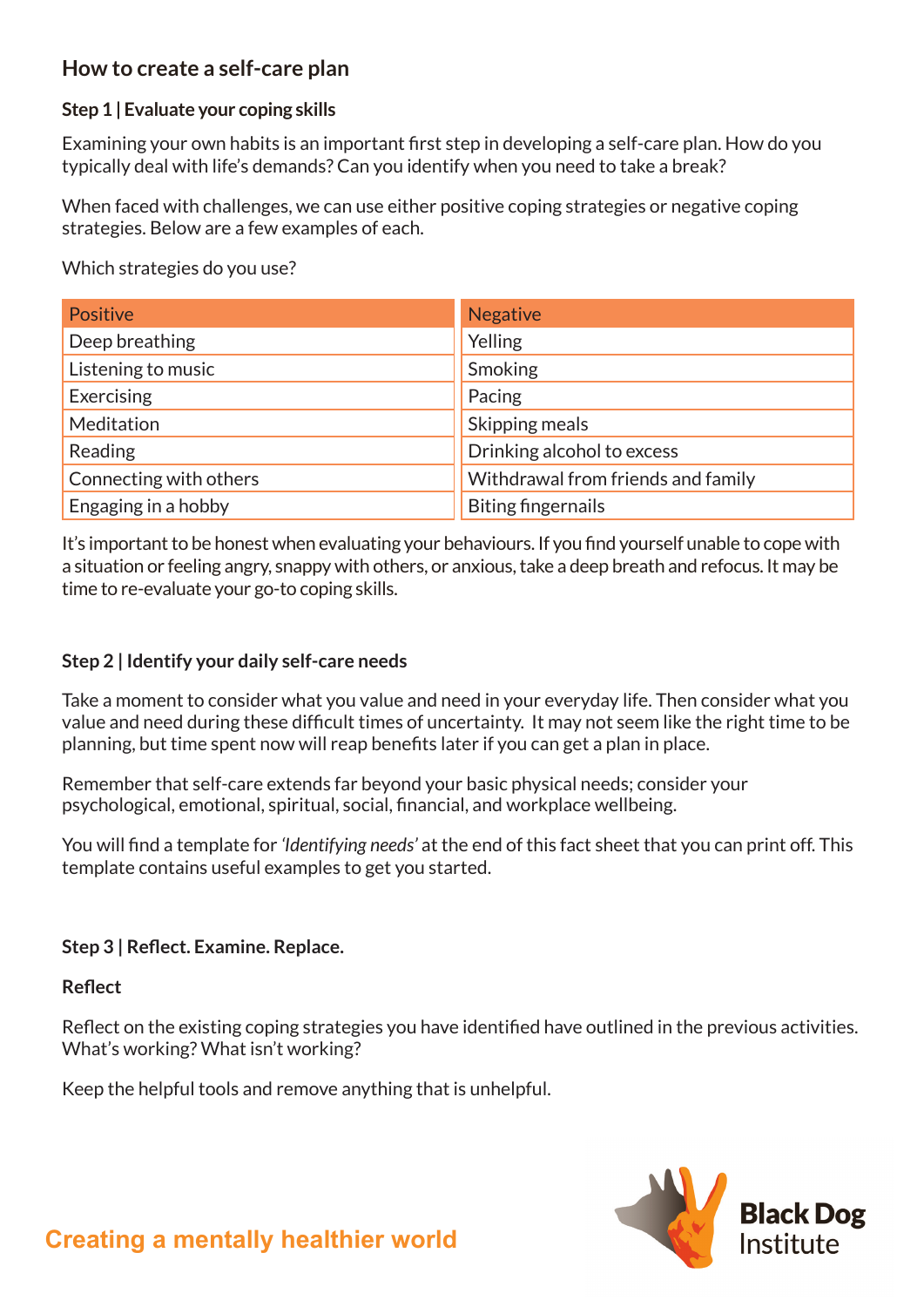### **How to create a self-care plan**

#### **Step 1 | Evaluate your coping skills**

Examining your own habits is an important first step in developing a self-care plan. How do you typically deal with life's demands? Can you identify when you need to take a break?

When faced with challenges, we can use either positive coping strategies or negative coping strategies. Below are a few examples of each.

Which strategies do you use?

| Positive               | <b>Negative</b>                    |
|------------------------|------------------------------------|
| Deep breathing         | Yelling                            |
| Listening to music     | Smoking                            |
| Exercising             | Pacing                             |
| Meditation             | Skipping meals                     |
| Reading                | Drinking alcohol to excess         |
| Connecting with others | Withdrawal from friends and family |
| Engaging in a hobby    | <b>Biting fingernails</b>          |

It's important to be honest when evaluating your behaviours. If you find yourself unable to cope with a situation or feeling angry, snappy with others, or anxious, take a deep breath and refocus. It may be time to re-evaluate your go-to coping skills.

#### **Step 2 | Identify your daily self-care needs**

Take a moment to consider what you value and need in your everyday life. Then consider what you value and need during these difficult times of uncertainty. It may not seem like the right time to be planning, but time spent now will reap benefits later if you can get a plan in place.

Remember that self-care extends far beyond your basic physical needs; consider your psychological, emotional, spiritual, social, financial, and workplace wellbeing.

You will find a template for *'Identifying needs'* at the end of this fact sheet that you can print off. This template contains useful examples to get you started.

#### **Step 3 | Reflect. Examine. Replace.**

**Reflect**

Reflect on the existing coping strategies you have identified have outlined in the previous activities. What's working? What isn't working?

Keep the helpful tools and remove anything that is unhelpful.

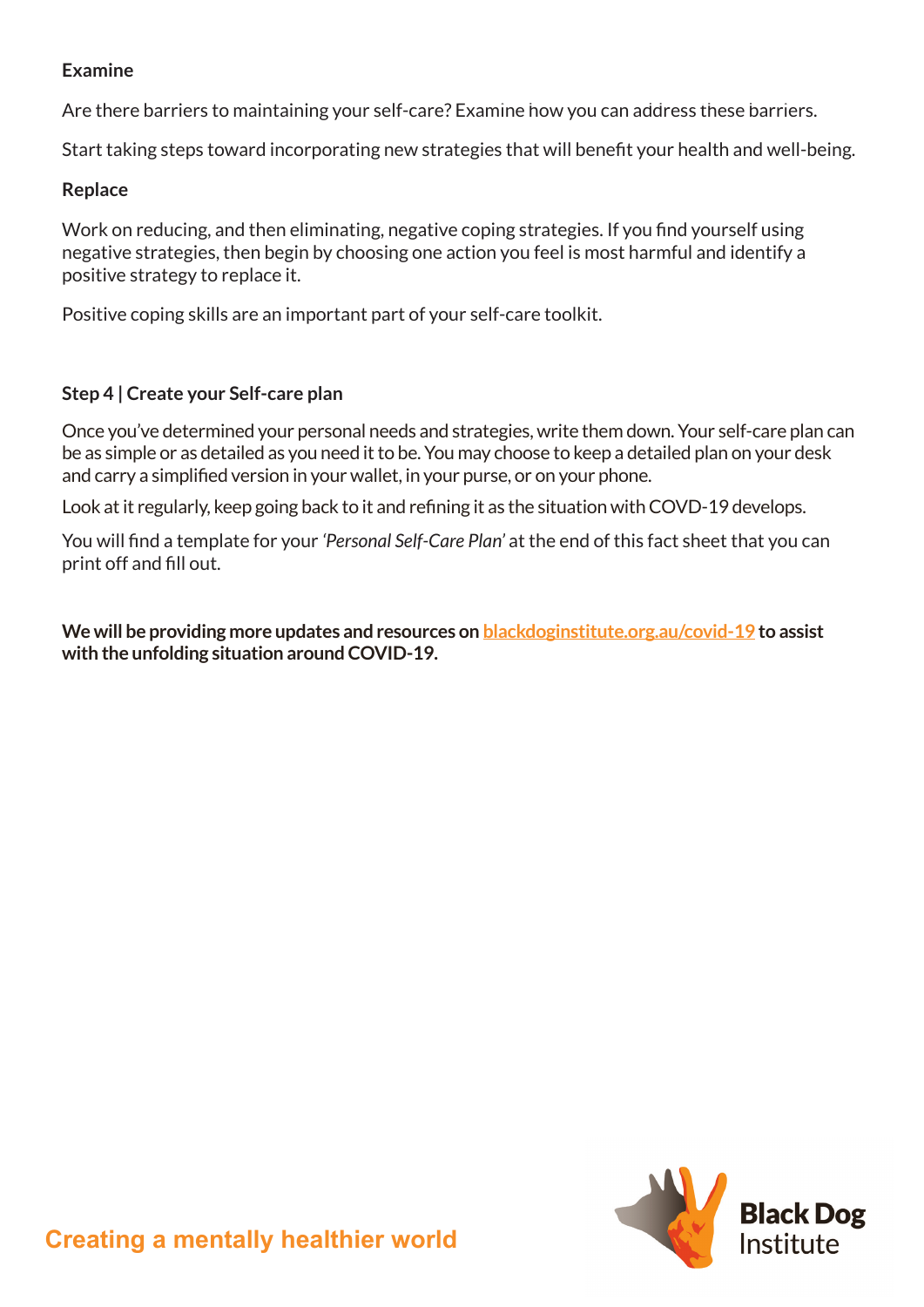#### **Examine**

Are there barriers to maintaining your self-care? Examine how you can address these barriers.

Start taking steps toward incorporating new strategies that will benefit your health and well-being.

#### **Replace**

Work on reducing, and then eliminating, negative coping strategies. If you find yourself using negative strategies, then begin by choosing one action you feel is most harmful and identify a positive strategy to replace it.

Positive coping skills are an important part of your self-care toolkit.

#### **Step 4 | Create your Self-care plan**

Once you've determined your personal needs and strategies, write them down. Your self-care plan can be as simple or as detailed as you need it to be. You may choose to keep a detailed plan on your desk and carry a simplified version in your wallet, in your purse, or on your phone.

Look at it regularly, keep going back to it and refining it as the situation with COVD-19 develops.

You will find a template for your *'Personal Self-Care Plan'* at the end of this fact sheet that you can print off and fill out.

**We will be providing more updates and resources on [blackdoginstitute.org.au/covid-19](https://blackdoginstitute.org.au/covid-19) to assist with the unfolding situation around COVID-19.**

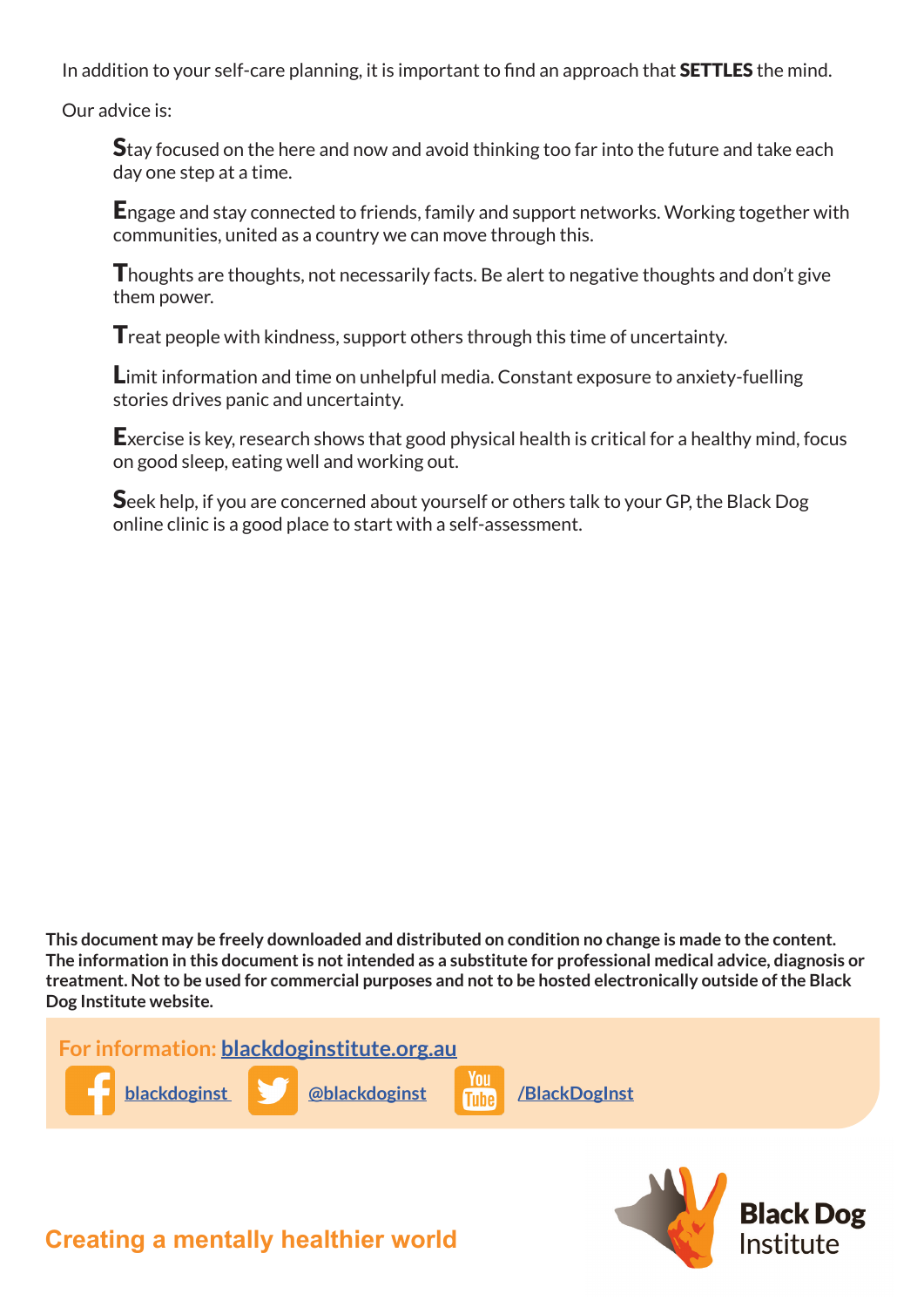In addition to your self-care planning, it is important to find an approach that **SETTLES** the mind.

Our advice is:

**S**tay focused on the here and now and avoid thinking too far into the future and take each day one step at a time.

Engage and stay connected to friends, family and support networks. Working together with communities, united as a country we can move through this.

Thoughts are thoughts, not necessarily facts. Be alert to negative thoughts and don't give them power.

**T** reat people with kindness, support others through this time of uncertainty.

Limit information and time on unhelpful media. Constant exposure to anxiety-fuelling stories drives panic and uncertainty.

Exercise is key, research shows that good physical health is critical for a healthy mind, focus on good sleep, eating well and working out.

Seek help, if you are concerned about yourself or others talk to your GP, the Black Dog online clinic is a good place to start with a self-assessment.

**This document may be freely downloaded and distributed on condition no change is made to the content. The information in this document is not intended as a substitute for professional medical advice, diagnosis or treatment. Not to be used for commercial purposes and not to be hosted electronically outside of the Black Dog Institute website.** 



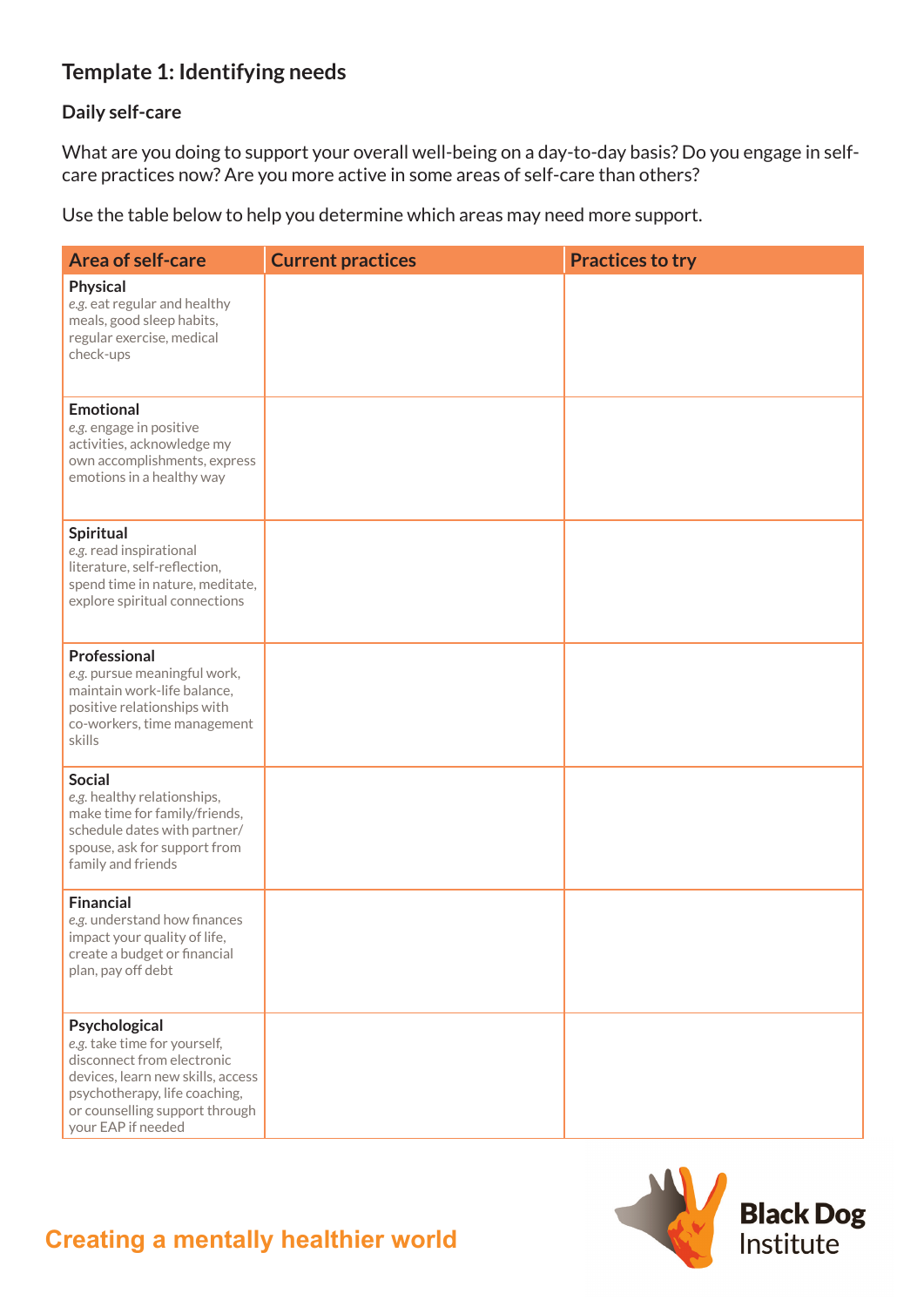# **Template 1: Identifying needs**

#### **Daily self-care**

What are you doing to support your overall well-being on a day-to-day basis? Do you engage in selfcare practices now? Are you more active in some areas of self-care than others?

Use the table below to help you determine which areas may need more support.

| <b>Area of self-care</b>                                                                                                                                                                                  | <b>Current practices</b> | <b>Practices to try</b> |
|-----------------------------------------------------------------------------------------------------------------------------------------------------------------------------------------------------------|--------------------------|-------------------------|
| <b>Physical</b><br>e.g. eat regular and healthy<br>meals, good sleep habits,<br>regular exercise, medical<br>check-ups                                                                                    |                          |                         |
| <b>Emotional</b><br>e.g. engage in positive<br>activities, acknowledge my<br>own accomplishments, express<br>emotions in a healthy way                                                                    |                          |                         |
| <b>Spiritual</b><br>e.g. read inspirational<br>literature, self-reflection,<br>spend time in nature, meditate,<br>explore spiritual connections                                                           |                          |                         |
| Professional<br>e.g. pursue meaningful work,<br>maintain work-life balance,<br>positive relationships with<br>co-workers, time management<br>skills                                                       |                          |                         |
| <b>Social</b><br>e.g. healthy relationships,<br>make time for family/friends,<br>schedule dates with partner/<br>spouse, ask for support from<br>family and friends                                       |                          |                         |
| <b>Financial</b><br>e.g. understand how finances<br>impact your quality of life,<br>create a budget or financial<br>plan, pay off debt                                                                    |                          |                         |
| Psychological<br>e.g. take time for yourself,<br>disconnect from electronic<br>devices, learn new skills, access<br>psychotherapy, life coaching,<br>or counselling support through<br>your EAP if needed |                          |                         |



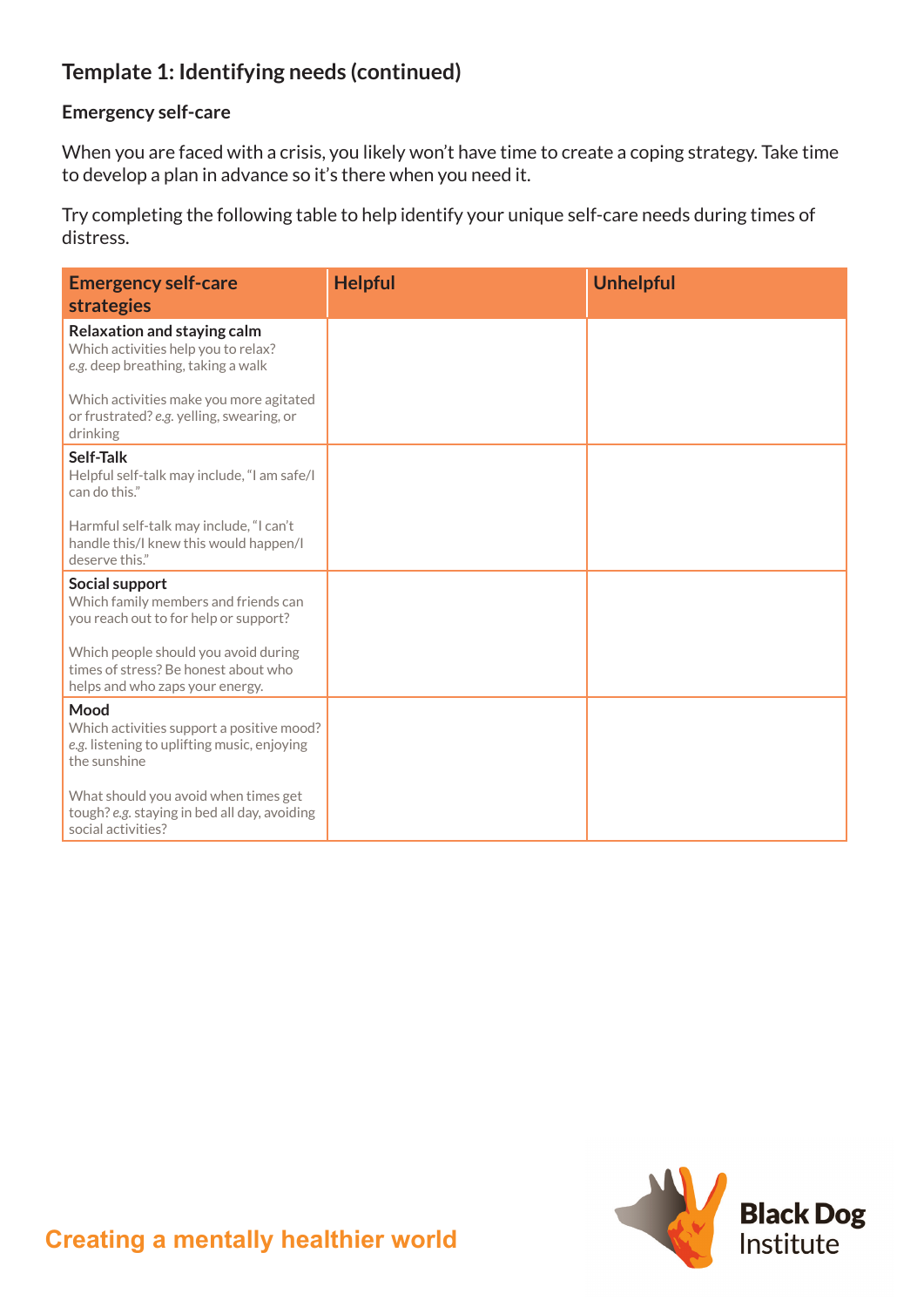## **Template 1: Identifying needs (continued)**

#### **Emergency self-care**

When you are faced with a crisis, you likely won't have time to create a coping strategy. Take time to develop a plan in advance so it's there when you need it.

Try completing the following table to help identify your unique self-care needs during times of distress.

| <b>Emergency self-care</b><br><b>strategies</b>                                                                  | <b>Helpful</b> | <b>Unhelpful</b> |
|------------------------------------------------------------------------------------------------------------------|----------------|------------------|
| Relaxation and staying calm<br>Which activities help you to relax?<br>e.g. deep breathing, taking a walk         |                |                  |
| Which activities make you more agitated<br>or frustrated? e.g. yelling, swearing, or<br>drinking                 |                |                  |
| Self-Talk<br>Helpful self-talk may include, "I am safe/I<br>can do this."                                        |                |                  |
| Harmful self-talk may include, "I can't<br>handle this/I knew this would happen/I<br>deserve this."              |                |                  |
| Social support<br>Which family members and friends can<br>you reach out to for help or support?                  |                |                  |
| Which people should you avoid during<br>times of stress? Be honest about who<br>helps and who zaps your energy.  |                |                  |
| Mood<br>Which activities support a positive mood?<br>e.g. listening to uplifting music, enjoying<br>the sunshine |                |                  |
| What should you avoid when times get<br>tough? e.g. staying in bed all day, avoiding<br>social activities?       |                |                  |